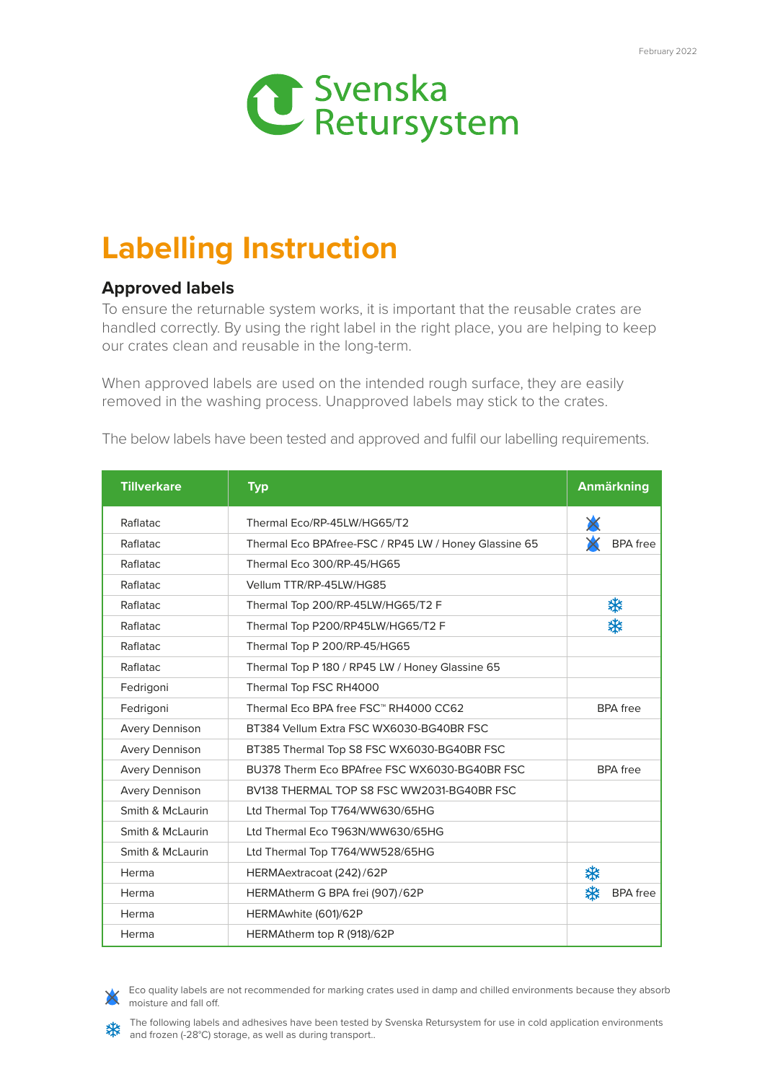

## **Labelling Instruction**

## **Approved labels**

To ensure the returnable system works, it is important that the reusable crates are handled correctly. By using the right label in the right place, you are helping to keep our crates clean and reusable in the long-term.

When approved labels are used on the intended rough surface, they are easily removed in the washing process. Unapproved labels may stick to the crates.

The below labels have been tested and approved and fulfil our labelling requirements.

| <b>Tillverkare</b>    | <b>Typ</b>                                            | <b>Anmärkning</b>    |
|-----------------------|-------------------------------------------------------|----------------------|
| Raflatac              | Thermal Eco/RP-45LW/HG65/T2                           |                      |
| Raflatac              | Thermal Eco BPAfree-FSC / RP45 LW / Honey Glassine 65 | <b>BPA</b> free      |
| Raflatac              | Thermal Eco 300/RP-45/HG65                            |                      |
| Raflatac              | Vellum TTR/RP-45LW/HG85                               |                      |
| Raflatac              | Thermal Top 200/RP-45LW/HG65/T2 F                     | ₩                    |
| Raflatac              | Thermal Top P200/RP45LW/HG65/T2 F                     | ₩                    |
| Raflatac              | Thermal Top P 200/RP-45/HG65                          |                      |
| Raflatac              | Thermal Top P 180 / RP45 LW / Honey Glassine 65       |                      |
| Fedrigoni             | Thermal Top FSC RH4000                                |                      |
| Fedrigoni             | Thermal Eco BPA free FSC™ RH4000 CC62                 | <b>BPA</b> free      |
| <b>Avery Dennison</b> | BT384 Vellum Extra FSC WX6030-BG40BR FSC              |                      |
| <b>Avery Dennison</b> | BT385 Thermal Top S8 FSC WX6030-BG40BR FSC            |                      |
| <b>Avery Dennison</b> | BU378 Therm Eco BPAfree FSC WX6030-BG40BR FSC         | <b>BPA</b> free      |
| <b>Avery Dennison</b> | BV138 THERMAL TOP S8 FSC WW2031-BG40BR FSC            |                      |
| Smith & McLaurin      | Ltd Thermal Top T764/WW630/65HG                       |                      |
| Smith & McLaurin      | Ltd Thermal Eco T963N/WW630/65HG                      |                      |
| Smith & McLaurin      | Ltd Thermal Top T764/WW528/65HG                       |                      |
| Herma                 | HERMAextracoat (242)/62P                              | ₩                    |
| Herma                 | HERMAtherm G BPA frei (907)/62P                       | ₩<br><b>BPA</b> free |
| Herma                 | HERMAwhite (601)/62P                                  |                      |
| Herma                 | HERMAtherm top R (918)/62P                            |                      |



Eco quality labels are not recommended for marking crates used in damp and chilled environments because they absorb moisture and fall off.

The following labels and adhesives have been tested by Svenska Retursystem for use in cold application environments and frozen (-28°C) storage, as well as during transport..